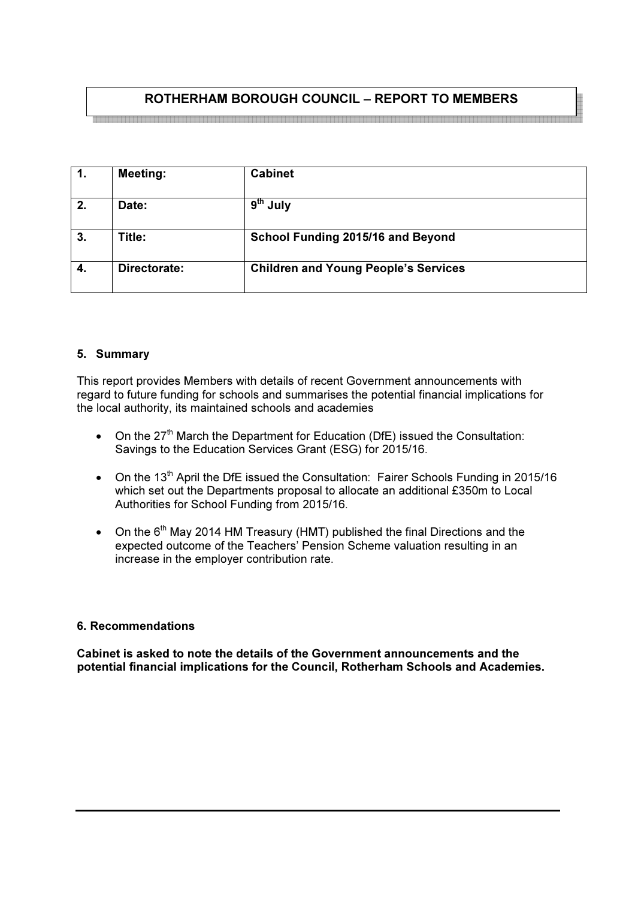# ROTHERHAM BOROUGH COUNCIL – REPORT TO MEMBERS

| $\mathbf 1$ | <b>Meeting:</b> | <b>Cabinet</b>                              |
|-------------|-----------------|---------------------------------------------|
| 2.          | Date:           | 9 <sup>th</sup> July                        |
| 3.          | Title:          | School Funding 2015/16 and Beyond           |
|             | Directorate:    | <b>Children and Young People's Services</b> |

#### 5. Summary

This report provides Members with details of recent Government announcements with regard to future funding for schools and summarises the potential financial implications for the local authority, its maintained schools and academies

- On the  $27<sup>th</sup>$  March the Department for Education (DfE) issued the Consultation: Savings to the Education Services Grant (ESG) for 2015/16.
- On the 13<sup>th</sup> April the DfE issued the Consultation: Fairer Schools Funding in 2015/16 which set out the Departments proposal to allocate an additional £350m to Local Authorities for School Funding from 2015/16.
- On the  $6<sup>th</sup>$  May 2014 HM Treasury (HMT) published the final Directions and the expected outcome of the Teachers' Pension Scheme valuation resulting in an increase in the employer contribution rate.

#### 6. Recommendations

Cabinet is asked to note the details of the Government announcements and the potential financial implications for the Council, Rotherham Schools and Academies.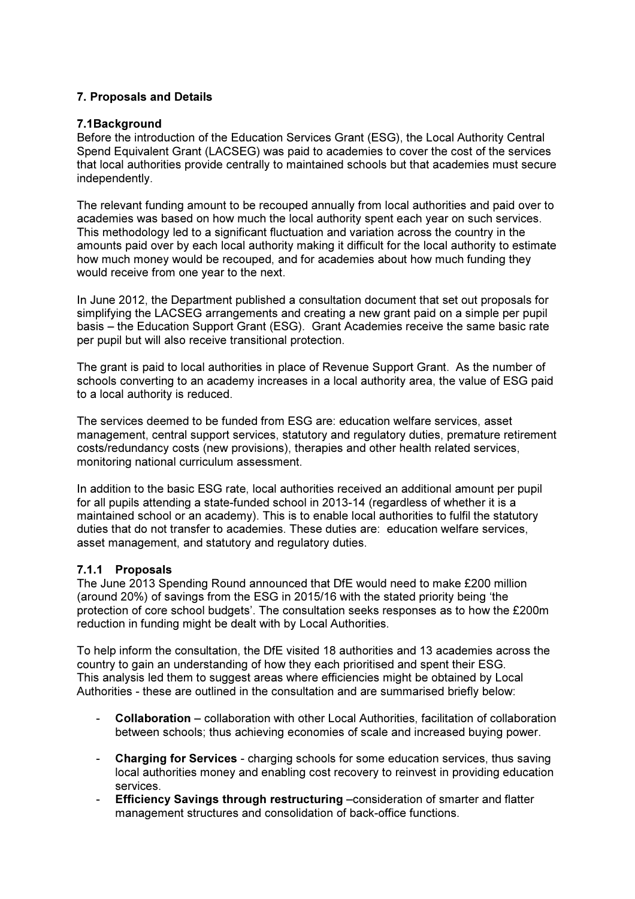## 7. Proposals and Details

#### 7.1Background

Before the introduction of the Education Services Grant (ESG), the Local Authority Central Spend Equivalent Grant (LACSEG) was paid to academies to cover the cost of the services that local authorities provide centrally to maintained schools but that academies must secure independently.

The relevant funding amount to be recouped annually from local authorities and paid over to academies was based on how much the local authority spent each year on such services. This methodology led to a significant fluctuation and variation across the country in the amounts paid over by each local authority making it difficult for the local authority to estimate how much money would be recouped, and for academies about how much funding they would receive from one year to the next.

In June 2012, the Department published a consultation document that set out proposals for simplifying the LACSEG arrangements and creating a new grant paid on a simple per pupil basis – the Education Support Grant (ESG). Grant Academies receive the same basic rate per pupil but will also receive transitional protection.

The grant is paid to local authorities in place of Revenue Support Grant. As the number of schools converting to an academy increases in a local authority area, the value of ESG paid to a local authority is reduced.

The services deemed to be funded from ESG are: education welfare services, asset management, central support services, statutory and regulatory duties, premature retirement costs/redundancy costs (new provisions), therapies and other health related services, monitoring national curriculum assessment.

In addition to the basic ESG rate, local authorities received an additional amount per pupil for all pupils attending a state-funded school in 2013-14 (regardless of whether it is a maintained school or an academy). This is to enable local authorities to fulfil the statutory duties that do not transfer to academies. These duties are: education welfare services, asset management, and statutory and regulatory duties.

#### 7.1.1 Proposals

The June 2013 Spending Round announced that DfE would need to make £200 million (around 20%) of savings from the ESG in 2015/16 with the stated priority being 'the protection of core school budgets'. The consultation seeks responses as to how the £200m reduction in funding might be dealt with by Local Authorities.

To help inform the consultation, the DfE visited 18 authorities and 13 academies across the country to gain an understanding of how they each prioritised and spent their ESG. This analysis led them to suggest areas where efficiencies might be obtained by Local Authorities - these are outlined in the consultation and are summarised briefly below:

- Collaboration collaboration with other Local Authorities, facilitation of collaboration between schools; thus achieving economies of scale and increased buying power.
- Charging for Services charging schools for some education services, thus saving local authorities money and enabling cost recovery to reinvest in providing education services.
- Efficiency Savings through restructuring –consideration of smarter and flatter management structures and consolidation of back-office functions.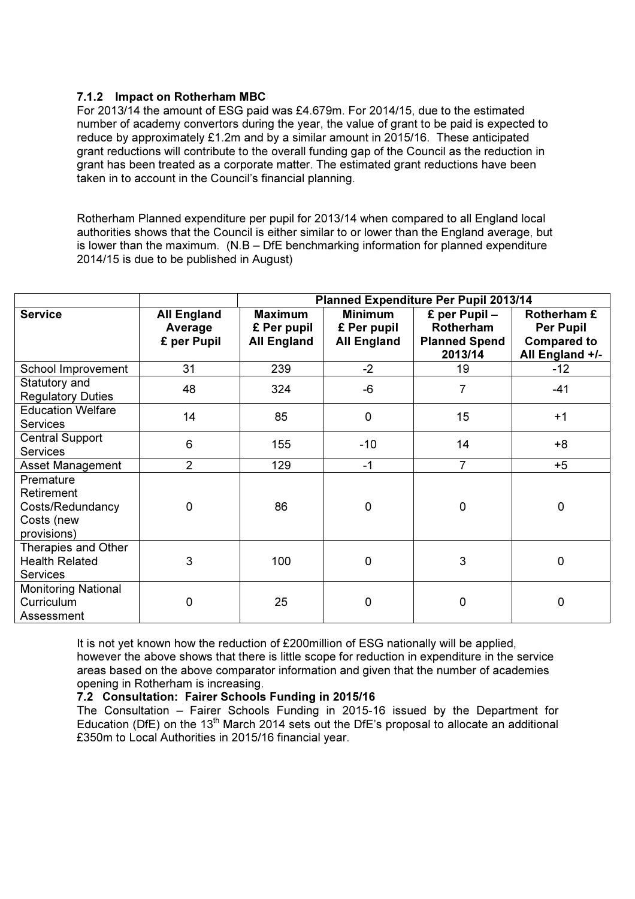#### 7.1.2 Impact on Rotherham MBC

For 2013/14 the amount of ESG paid was £4.679m. For 2014/15, due to the estimated number of academy convertors during the year, the value of grant to be paid is expected to reduce by approximately £1.2m and by a similar amount in 2015/16. These anticipated grant reductions will contribute to the overall funding gap of the Council as the reduction in grant has been treated as a corporate matter. The estimated grant reductions have been taken in to account in the Council's financial planning.

Rotherham Planned expenditure per pupil for 2013/14 when compared to all England local authorities shows that the Council is either similar to or lower than the England average, but is lower than the maximum. ( $N.B - DfE$  benchmarking information for planned expenditure 2014/15 is due to be published in August)

|                                                                          |                                              | <b>Planned Expenditure Per Pupil 2013/14</b>        |                                                     |                                                                      |                                                                          |  |
|--------------------------------------------------------------------------|----------------------------------------------|-----------------------------------------------------|-----------------------------------------------------|----------------------------------------------------------------------|--------------------------------------------------------------------------|--|
| <b>Service</b>                                                           | <b>All England</b><br>Average<br>£ per Pupil | <b>Maximum</b><br>£ Per pupil<br><b>All England</b> | <b>Minimum</b><br>£ Per pupil<br><b>All England</b> | £ per Pupil -<br><b>Rotherham</b><br><b>Planned Spend</b><br>2013/14 | Rotherham £<br><b>Per Pupil</b><br><b>Compared to</b><br>All England +/- |  |
| School Improvement                                                       | 31                                           | 239                                                 | $-2$                                                | 19                                                                   | $-12$                                                                    |  |
| Statutory and<br><b>Regulatory Duties</b>                                | 48                                           | 324                                                 | $-6$                                                | 7                                                                    | $-41$                                                                    |  |
| <b>Education Welfare</b><br><b>Services</b>                              | 14                                           | 85                                                  | $\mathbf 0$                                         | 15                                                                   | $+1$                                                                     |  |
| <b>Central Support</b><br><b>Services</b>                                | $6\phantom{1}$                               | 155                                                 | $-10$                                               | 14                                                                   | $+8$                                                                     |  |
| Asset Management                                                         | $\overline{2}$                               | 129                                                 | $-1$                                                | $\overline{7}$                                                       | $+5$                                                                     |  |
| Premature<br>Retirement<br>Costs/Redundancy<br>Costs (new<br>provisions) | 0                                            | 86                                                  | $\mathbf 0$                                         | $\mathbf 0$                                                          | 0                                                                        |  |
| Therapies and Other<br><b>Health Related</b><br><b>Services</b>          | 3                                            | 100                                                 | 0                                                   | 3                                                                    | 0                                                                        |  |
| <b>Monitoring National</b><br>Curriculum<br>Assessment                   | 0                                            | 25                                                  | 0                                                   | 0                                                                    | 0                                                                        |  |

It is not yet known how the reduction of £200million of ESG nationally will be applied, however the above shows that there is little scope for reduction in expenditure in the service areas based on the above comparator information and given that the number of academies opening in Rotherham is increasing.

## 7.2 Consultation: Fairer Schools Funding in 2015/16

The Consultation – Fairer Schools Funding in 2015-16 issued by the Department for Education (DfE) on the 13<sup>th</sup> March 2014 sets out the DfE's proposal to allocate an additional £350m to Local Authorities in 2015/16 financial year.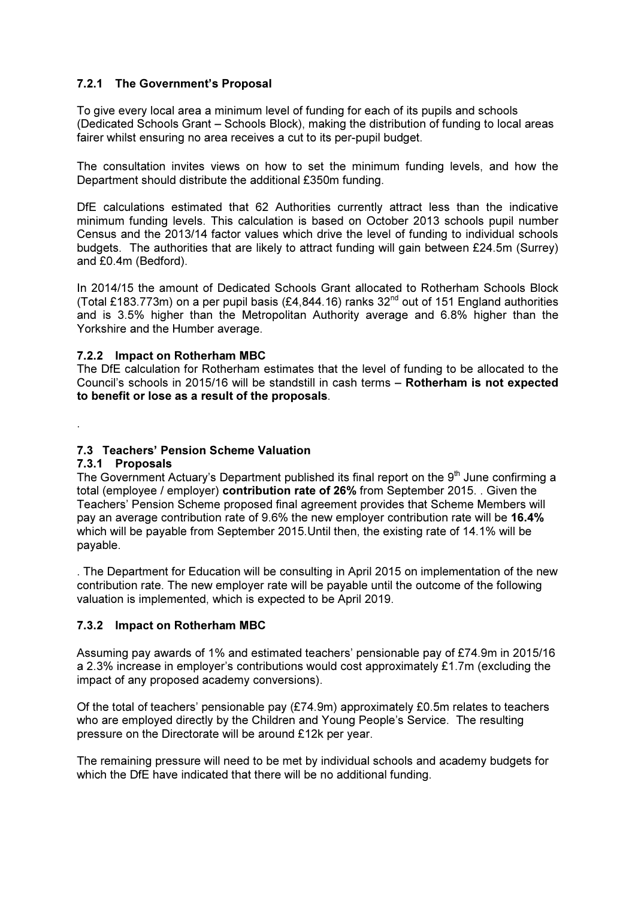## 7.2.1 The Government's Proposal

To give every local area a minimum level of funding for each of its pupils and schools (Dedicated Schools Grant – Schools Block), making the distribution of funding to local areas fairer whilst ensuring no area receives a cut to its per-pupil budget.

The consultation invites views on how to set the minimum funding levels, and how the Department should distribute the additional £350m funding.

DfE calculations estimated that 62 Authorities currently attract less than the indicative minimum funding levels. This calculation is based on October 2013 schools pupil number Census and the 2013/14 factor values which drive the level of funding to individual schools budgets. The authorities that are likely to attract funding will gain between £24.5m (Surrey) and £0.4m (Bedford).

In 2014/15 the amount of Dedicated Schools Grant allocated to Rotherham Schools Block (Total £183.773m) on a per pupil basis (£4,844.16) ranks  $32<sup>nd</sup>$  out of 151 England authorities and is 3.5% higher than the Metropolitan Authority average and 6.8% higher than the Yorkshire and the Humber average.

#### 7.2.2 Impact on Rotherham MBC

The DfE calculation for Rotherham estimates that the level of funding to be allocated to the Council's schools in 2015/16 will be standstill in cash terms – Rotherham is not expected to benefit or lose as a result of the proposals.

### 7.3 Teachers' Pension Scheme Valuation

#### 7.3.1 Proposals

.

The Government Actuary's Department published its final report on the  $9<sup>th</sup>$  June confirming a total (employee / employer) contribution rate of 26% from September 2015. . Given the Teachers' Pension Scheme proposed final agreement provides that Scheme Members will pay an average contribution rate of 9.6% the new employer contribution rate will be 16.4% which will be payable from September 2015.Until then, the existing rate of 14.1% will be payable.

. The Department for Education will be consulting in April 2015 on implementation of the new contribution rate. The new employer rate will be payable until the outcome of the following valuation is implemented, which is expected to be April 2019.

#### 7.3.2 Impact on Rotherham MBC

Assuming pay awards of 1% and estimated teachers' pensionable pay of £74.9m in 2015/16 a 2.3% increase in employer's contributions would cost approximately £1.7m (excluding the impact of any proposed academy conversions).

Of the total of teachers' pensionable pay (£74.9m) approximately £0.5m relates to teachers who are employed directly by the Children and Young People's Service. The resulting pressure on the Directorate will be around £12k per year.

The remaining pressure will need to be met by individual schools and academy budgets for which the DfE have indicated that there will be no additional funding.